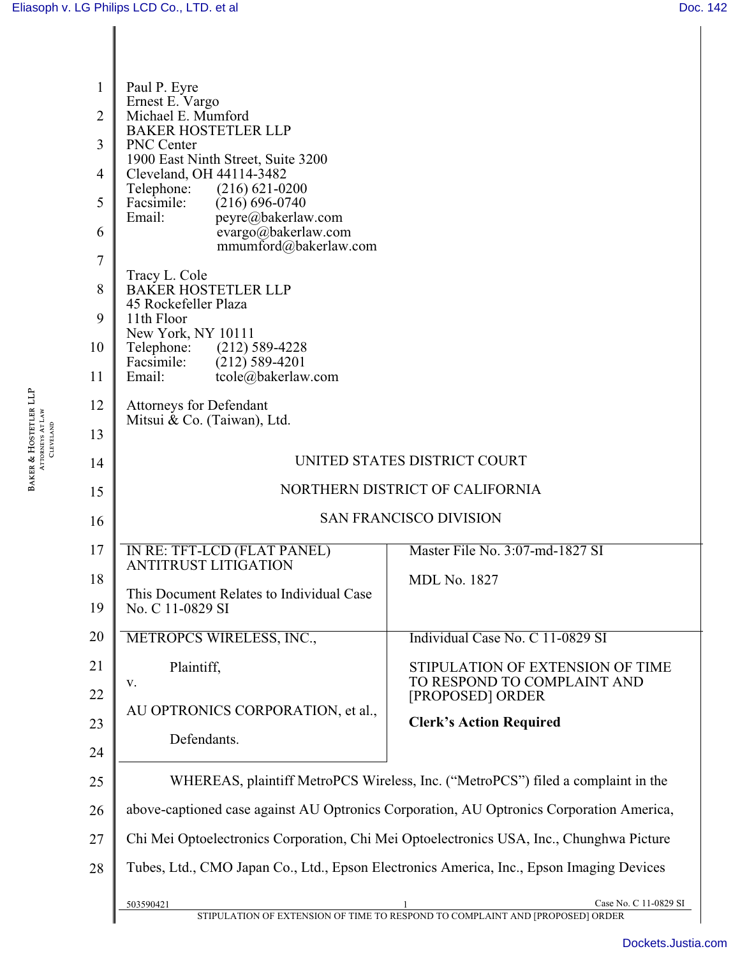BAKER & HOSTETLER LLP ATTORNEYS AT LAW CLEVELAND

**BAKER & HOSTETLER LLP**<br>ATTORNEYS AT LAW<br>CLEVELAND

| $\mathbf{1}$   | Paul P. Eyre                                                                             |                                                                                                        |  |
|----------------|------------------------------------------------------------------------------------------|--------------------------------------------------------------------------------------------------------|--|
| $\overline{2}$ | Ernest E. Vargo<br>Michael E. Mumford                                                    |                                                                                                        |  |
| 3              | <b>BAKER HOSTETLER LLP</b><br>PNC Center                                                 |                                                                                                        |  |
| 4              | 1900 East Ninth Street, Suite 3200<br>Cleveland, OH 44114-3482                           |                                                                                                        |  |
| 5              | Telephone: (216) 621-0200<br>Facsimile:<br>$(216) 696 - 0740$                            |                                                                                                        |  |
| 6              | Email:<br>peyre@bakerlaw.com<br>evargo@bakerlaw.com<br>mmumford@bakerlaw.com             |                                                                                                        |  |
| 7              |                                                                                          |                                                                                                        |  |
| 8              | Tracy L. Cole<br><b>BAKER HOSTETLER LLP</b><br>45 Rockefeller Plaza                      |                                                                                                        |  |
| 9              | 11th Floor<br>New York, NY 10111                                                         |                                                                                                        |  |
| 10             | Telephone: (212) 589-4228<br>Facsimile:<br>$(212)$ 589-4201                              |                                                                                                        |  |
| 11             | tcole@bakerlaw.com<br>Email:                                                             |                                                                                                        |  |
| 12             | <b>Attorneys for Defendant</b><br>Mitsui & Co. (Taiwan), Ltd.                            |                                                                                                        |  |
| 13             |                                                                                          |                                                                                                        |  |
| 14             | UNITED STATES DISTRICT COURT                                                             |                                                                                                        |  |
| 15             |                                                                                          | NORTHERN DISTRICT OF CALIFORNIA                                                                        |  |
| 16             | <b>SAN FRANCISCO DIVISION</b>                                                            |                                                                                                        |  |
| 17             | IN RE: TFT-LCD (FLAT PANEL)<br><b>ANTITRUST LITIGATION</b>                               | Master File No. 3:07-md-1827 SI                                                                        |  |
| 18             |                                                                                          | <b>MDL No. 1827</b>                                                                                    |  |
| 19             | This Document Relates to Individual Case<br>No. C 11-0829 SI                             |                                                                                                        |  |
| 20             | METROPCS WIRELESS, INC.,                                                                 | Individual Case No. C 11-0829 SI                                                                       |  |
| 21             | Plaintiff,<br>${\bf V}$ .                                                                | STIPULATION OF EXTENSION OF TIME<br>TO RESPOND TO COMPLAINT AND                                        |  |
| 22             |                                                                                          | [PROPOSED] ORDER                                                                                       |  |
| 23             | AU OPTRONICS CORPORATION, et al.,                                                        | <b>Clerk's Action Required</b>                                                                         |  |
| 24             | Defendants.                                                                              |                                                                                                        |  |
| 25             |                                                                                          | WHEREAS, plaintiff MetroPCS Wireless, Inc. ("MetroPCS") filed a complaint in the                       |  |
| 26             | above-captioned case against AU Optronics Corporation, AU Optronics Corporation America, |                                                                                                        |  |
| 27             | Chi Mei Optoelectronics Corporation, Chi Mei Optoelectronics USA, Inc., Chunghwa Picture |                                                                                                        |  |
| 28             |                                                                                          | Tubes, Ltd., CMO Japan Co., Ltd., Epson Electronics America, Inc., Epson Imaging Devices               |  |
|                | 503590421                                                                                | Case No. C 11-0829 SI<br>STIPULATION OF EXTENSION OF TIME TO RESPOND TO COMPLAINT AND [PROPOSED] ORDER |  |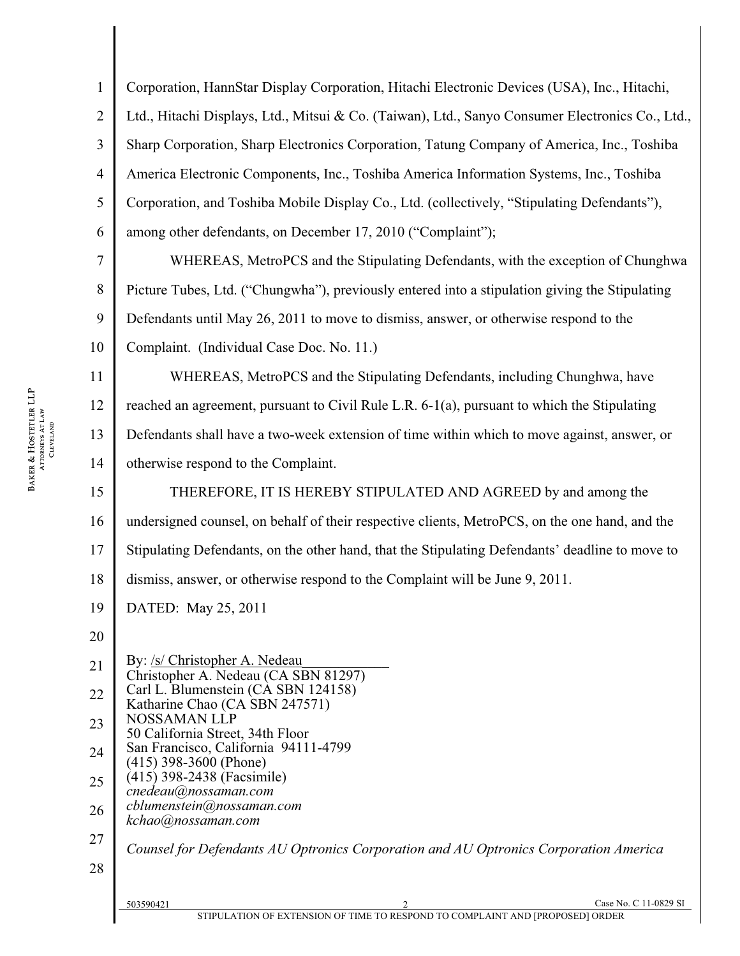| $\mathbf{1}$   | Corporation, HannStar Display Corporation, Hitachi Electronic Devices (USA), Inc., Hitachi,                         |
|----------------|---------------------------------------------------------------------------------------------------------------------|
| $\overline{2}$ | Ltd., Hitachi Displays, Ltd., Mitsui & Co. (Taiwan), Ltd., Sanyo Consumer Electronics Co., Ltd.,                    |
| 3              | Sharp Corporation, Sharp Electronics Corporation, Tatung Company of America, Inc., Toshiba                          |
| $\overline{4}$ | America Electronic Components, Inc., Toshiba America Information Systems, Inc., Toshiba                             |
| 5              | Corporation, and Toshiba Mobile Display Co., Ltd. (collectively, "Stipulating Defendants"),                         |
| 6              | among other defendants, on December 17, 2010 ("Complaint");                                                         |
| 7              | WHEREAS, MetroPCS and the Stipulating Defendants, with the exception of Chunghwa                                    |
| 8              | Picture Tubes, Ltd. ("Chungwha"), previously entered into a stipulation giving the Stipulating                      |
| 9              | Defendants until May 26, 2011 to move to dismiss, answer, or otherwise respond to the                               |
| 10             | Complaint. (Individual Case Doc. No. 11.)                                                                           |
| 11             | WHEREAS, MetroPCS and the Stipulating Defendants, including Chunghwa, have                                          |
| 12             | reached an agreement, pursuant to Civil Rule L.R. 6-1(a), pursuant to which the Stipulating                         |
| 13             | Defendants shall have a two-week extension of time within which to move against, answer, or                         |
| 14             | otherwise respond to the Complaint.                                                                                 |
| 15             | THEREFORE, IT IS HEREBY STIPULATED AND AGREED by and among the                                                      |
| 16             | undersigned counsel, on behalf of their respective clients, MetroPCS, on the one hand, and the                      |
| 17             | Stipulating Defendants, on the other hand, that the Stipulating Defendants' deadline to move to                     |
| 18             | dismiss, answer, or otherwise respond to the Complaint will be June 9, 2011.                                        |
| 19             | DATED: May 25, 2011                                                                                                 |
| 20             |                                                                                                                     |
| 21             | By: /s/ Christopher A. Nedeau<br>Christopher A. Nedeau (CA SBN 81297)                                               |
| 22             | Carl L. Blumenstein (CA SBN 124158)<br>Katharine Chao (CA SBN 247571)                                               |
| 23             | <b>NOSSAMAN LLP</b><br>50 California Street, 34th Floor                                                             |
| 24             | San Francisco, California 94111-4799<br>$(415)$ 398-3600 (Phone)                                                    |
| 25             | (415) 398-2438 (Facsimile)<br>cnedeau@nossaman.com                                                                  |
| 26             | cblumenstein@nossaman.com<br>kchao@nossaman.com                                                                     |
| 27             | Counsel for Defendants AU Optronics Corporation and AU Optronics Corporation America                                |
| 28             |                                                                                                                     |
|                | Case No. C 11-0829 SI<br>503590421<br>STIPULATION OF EXTENSION OF TIME TO RESPOND TO COMPLAINT AND [PROPOSED] ORDER |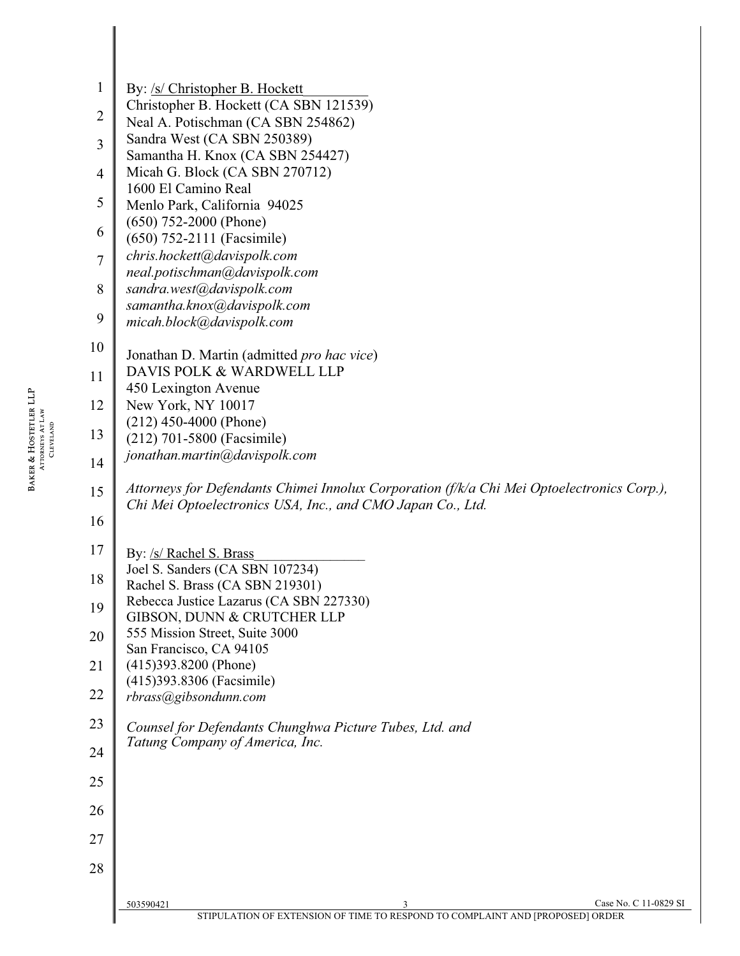|                       | J              | Samanth                |
|-----------------------|----------------|------------------------|
|                       | $\overline{4}$ | Micah G                |
|                       |                | 1600 El                |
|                       | 5              | Menlo Pa               |
|                       | 6              | $(650)$ 75.            |
|                       |                | (650) 752              |
|                       | $\overline{7}$ | chris.hoc<br>neal.poti |
|                       | 8              | sandra.w               |
|                       |                | samanth                |
|                       | 9              | micah.bl               |
|                       | 10             | Jonathan               |
|                       | 11             | <b>DAVIS</b>           |
| BAKER & HOSTETLER LLP | 12             | 450 Lexi<br>New Yor    |
| ATTORNEYS AT LAW      | 13             | $(212)$ 45<br>(212) 70 |
| CLEVELAND             |                | jonathan               |
|                       | 14             |                        |
|                       | 15             | Attorney.<br>Chi Mei   |
|                       | 16             |                        |
|                       | 17             | By: <u>/s/ R</u>       |
|                       | 18             | Joel S. Sa<br>Rachel S |

 $\mathbb{I}$ 

| 1<br>By: /s/ Christopher B. Hockett<br>Christopher B. Hockett (CA SBN 121539)<br>2<br>Neal A. Potischman (CA SBN 254862)<br>Sandra West (CA SBN 250389)<br>3<br>Samantha H. Knox (CA SBN 254427)<br>Micah G. Block (CA SBN 270712)<br>4<br>1600 El Camino Real<br>5<br>Menlo Park, California 94025<br>$(650)$ 752-2000 (Phone)<br>6<br>$(650)$ 752-2111 (Facsimile)<br>chris.hockett@davispolk.com<br>$\overline{7}$<br>neal.potischman@davispolk.com<br>sandra.west@davispolk.com<br>8<br>samantha.knox@davispolk.com<br>9<br>micah.block@davispolk.com<br>10<br>Jonathan D. Martin (admitted pro hac vice)<br>DAVIS POLK & WARDWELL LLP<br>11<br>450 Lexington Avenue<br>New York, NY 10017<br>12<br>$(212)$ 450-4000 (Phone)<br>13<br>(212) 701-5800 (Facsimile)<br>jonathan.martin@davispolk.com<br>14<br>Attorneys for Defendants Chimei Innolux Corporation (f/k/a Chi Mei Optoelectronics Corp.),<br>15<br>Chi Mei Optoelectronics USA, Inc., and CMO Japan Co., Ltd.<br>16<br>17<br>By: /s/ Rachel S. Brass<br>Joel S. Sanders (CA SBN 107234)<br>18<br>Rachel S. Brass (CA SBN 219301)<br>Rebecca Justice Lazarus (CA SBN 227330)<br>19<br>GIBSON, DUNN & CRUTCHER LLP<br>555 Mission Street, Suite 3000<br>20<br>San Francisco, CA 94105<br>$(415)393.8200$ (Phone)<br>21<br>(415)393.8306 (Facsimile)<br>22<br>rbrass@gibsondunn.com<br>23<br>Counsel for Defendants Chunghwa Picture Tubes, Ltd. and<br>Tatung Company of America, Inc.<br>24<br>25<br>26<br>27<br>28<br>503590421<br>3<br>STIPULATION OF EXTENSION OF TIME TO RESPOND TO COMPLAINT AND [PROPOSED] ORDER |                       |
|---------------------------------------------------------------------------------------------------------------------------------------------------------------------------------------------------------------------------------------------------------------------------------------------------------------------------------------------------------------------------------------------------------------------------------------------------------------------------------------------------------------------------------------------------------------------------------------------------------------------------------------------------------------------------------------------------------------------------------------------------------------------------------------------------------------------------------------------------------------------------------------------------------------------------------------------------------------------------------------------------------------------------------------------------------------------------------------------------------------------------------------------------------------------------------------------------------------------------------------------------------------------------------------------------------------------------------------------------------------------------------------------------------------------------------------------------------------------------------------------------------------------------------------------------------------------------------------|-----------------------|
|                                                                                                                                                                                                                                                                                                                                                                                                                                                                                                                                                                                                                                                                                                                                                                                                                                                                                                                                                                                                                                                                                                                                                                                                                                                                                                                                                                                                                                                                                                                                                                                       |                       |
|                                                                                                                                                                                                                                                                                                                                                                                                                                                                                                                                                                                                                                                                                                                                                                                                                                                                                                                                                                                                                                                                                                                                                                                                                                                                                                                                                                                                                                                                                                                                                                                       |                       |
|                                                                                                                                                                                                                                                                                                                                                                                                                                                                                                                                                                                                                                                                                                                                                                                                                                                                                                                                                                                                                                                                                                                                                                                                                                                                                                                                                                                                                                                                                                                                                                                       |                       |
|                                                                                                                                                                                                                                                                                                                                                                                                                                                                                                                                                                                                                                                                                                                                                                                                                                                                                                                                                                                                                                                                                                                                                                                                                                                                                                                                                                                                                                                                                                                                                                                       |                       |
|                                                                                                                                                                                                                                                                                                                                                                                                                                                                                                                                                                                                                                                                                                                                                                                                                                                                                                                                                                                                                                                                                                                                                                                                                                                                                                                                                                                                                                                                                                                                                                                       |                       |
|                                                                                                                                                                                                                                                                                                                                                                                                                                                                                                                                                                                                                                                                                                                                                                                                                                                                                                                                                                                                                                                                                                                                                                                                                                                                                                                                                                                                                                                                                                                                                                                       |                       |
|                                                                                                                                                                                                                                                                                                                                                                                                                                                                                                                                                                                                                                                                                                                                                                                                                                                                                                                                                                                                                                                                                                                                                                                                                                                                                                                                                                                                                                                                                                                                                                                       |                       |
|                                                                                                                                                                                                                                                                                                                                                                                                                                                                                                                                                                                                                                                                                                                                                                                                                                                                                                                                                                                                                                                                                                                                                                                                                                                                                                                                                                                                                                                                                                                                                                                       |                       |
|                                                                                                                                                                                                                                                                                                                                                                                                                                                                                                                                                                                                                                                                                                                                                                                                                                                                                                                                                                                                                                                                                                                                                                                                                                                                                                                                                                                                                                                                                                                                                                                       |                       |
|                                                                                                                                                                                                                                                                                                                                                                                                                                                                                                                                                                                                                                                                                                                                                                                                                                                                                                                                                                                                                                                                                                                                                                                                                                                                                                                                                                                                                                                                                                                                                                                       |                       |
|                                                                                                                                                                                                                                                                                                                                                                                                                                                                                                                                                                                                                                                                                                                                                                                                                                                                                                                                                                                                                                                                                                                                                                                                                                                                                                                                                                                                                                                                                                                                                                                       |                       |
|                                                                                                                                                                                                                                                                                                                                                                                                                                                                                                                                                                                                                                                                                                                                                                                                                                                                                                                                                                                                                                                                                                                                                                                                                                                                                                                                                                                                                                                                                                                                                                                       |                       |
|                                                                                                                                                                                                                                                                                                                                                                                                                                                                                                                                                                                                                                                                                                                                                                                                                                                                                                                                                                                                                                                                                                                                                                                                                                                                                                                                                                                                                                                                                                                                                                                       |                       |
|                                                                                                                                                                                                                                                                                                                                                                                                                                                                                                                                                                                                                                                                                                                                                                                                                                                                                                                                                                                                                                                                                                                                                                                                                                                                                                                                                                                                                                                                                                                                                                                       |                       |
|                                                                                                                                                                                                                                                                                                                                                                                                                                                                                                                                                                                                                                                                                                                                                                                                                                                                                                                                                                                                                                                                                                                                                                                                                                                                                                                                                                                                                                                                                                                                                                                       |                       |
|                                                                                                                                                                                                                                                                                                                                                                                                                                                                                                                                                                                                                                                                                                                                                                                                                                                                                                                                                                                                                                                                                                                                                                                                                                                                                                                                                                                                                                                                                                                                                                                       |                       |
|                                                                                                                                                                                                                                                                                                                                                                                                                                                                                                                                                                                                                                                                                                                                                                                                                                                                                                                                                                                                                                                                                                                                                                                                                                                                                                                                                                                                                                                                                                                                                                                       |                       |
|                                                                                                                                                                                                                                                                                                                                                                                                                                                                                                                                                                                                                                                                                                                                                                                                                                                                                                                                                                                                                                                                                                                                                                                                                                                                                                                                                                                                                                                                                                                                                                                       |                       |
|                                                                                                                                                                                                                                                                                                                                                                                                                                                                                                                                                                                                                                                                                                                                                                                                                                                                                                                                                                                                                                                                                                                                                                                                                                                                                                                                                                                                                                                                                                                                                                                       |                       |
|                                                                                                                                                                                                                                                                                                                                                                                                                                                                                                                                                                                                                                                                                                                                                                                                                                                                                                                                                                                                                                                                                                                                                                                                                                                                                                                                                                                                                                                                                                                                                                                       |                       |
|                                                                                                                                                                                                                                                                                                                                                                                                                                                                                                                                                                                                                                                                                                                                                                                                                                                                                                                                                                                                                                                                                                                                                                                                                                                                                                                                                                                                                                                                                                                                                                                       |                       |
|                                                                                                                                                                                                                                                                                                                                                                                                                                                                                                                                                                                                                                                                                                                                                                                                                                                                                                                                                                                                                                                                                                                                                                                                                                                                                                                                                                                                                                                                                                                                                                                       |                       |
|                                                                                                                                                                                                                                                                                                                                                                                                                                                                                                                                                                                                                                                                                                                                                                                                                                                                                                                                                                                                                                                                                                                                                                                                                                                                                                                                                                                                                                                                                                                                                                                       |                       |
|                                                                                                                                                                                                                                                                                                                                                                                                                                                                                                                                                                                                                                                                                                                                                                                                                                                                                                                                                                                                                                                                                                                                                                                                                                                                                                                                                                                                                                                                                                                                                                                       |                       |
|                                                                                                                                                                                                                                                                                                                                                                                                                                                                                                                                                                                                                                                                                                                                                                                                                                                                                                                                                                                                                                                                                                                                                                                                                                                                                                                                                                                                                                                                                                                                                                                       |                       |
|                                                                                                                                                                                                                                                                                                                                                                                                                                                                                                                                                                                                                                                                                                                                                                                                                                                                                                                                                                                                                                                                                                                                                                                                                                                                                                                                                                                                                                                                                                                                                                                       |                       |
|                                                                                                                                                                                                                                                                                                                                                                                                                                                                                                                                                                                                                                                                                                                                                                                                                                                                                                                                                                                                                                                                                                                                                                                                                                                                                                                                                                                                                                                                                                                                                                                       |                       |
|                                                                                                                                                                                                                                                                                                                                                                                                                                                                                                                                                                                                                                                                                                                                                                                                                                                                                                                                                                                                                                                                                                                                                                                                                                                                                                                                                                                                                                                                                                                                                                                       |                       |
|                                                                                                                                                                                                                                                                                                                                                                                                                                                                                                                                                                                                                                                                                                                                                                                                                                                                                                                                                                                                                                                                                                                                                                                                                                                                                                                                                                                                                                                                                                                                                                                       |                       |
|                                                                                                                                                                                                                                                                                                                                                                                                                                                                                                                                                                                                                                                                                                                                                                                                                                                                                                                                                                                                                                                                                                                                                                                                                                                                                                                                                                                                                                                                                                                                                                                       |                       |
|                                                                                                                                                                                                                                                                                                                                                                                                                                                                                                                                                                                                                                                                                                                                                                                                                                                                                                                                                                                                                                                                                                                                                                                                                                                                                                                                                                                                                                                                                                                                                                                       |                       |
|                                                                                                                                                                                                                                                                                                                                                                                                                                                                                                                                                                                                                                                                                                                                                                                                                                                                                                                                                                                                                                                                                                                                                                                                                                                                                                                                                                                                                                                                                                                                                                                       | Case No. C 11-0829 SI |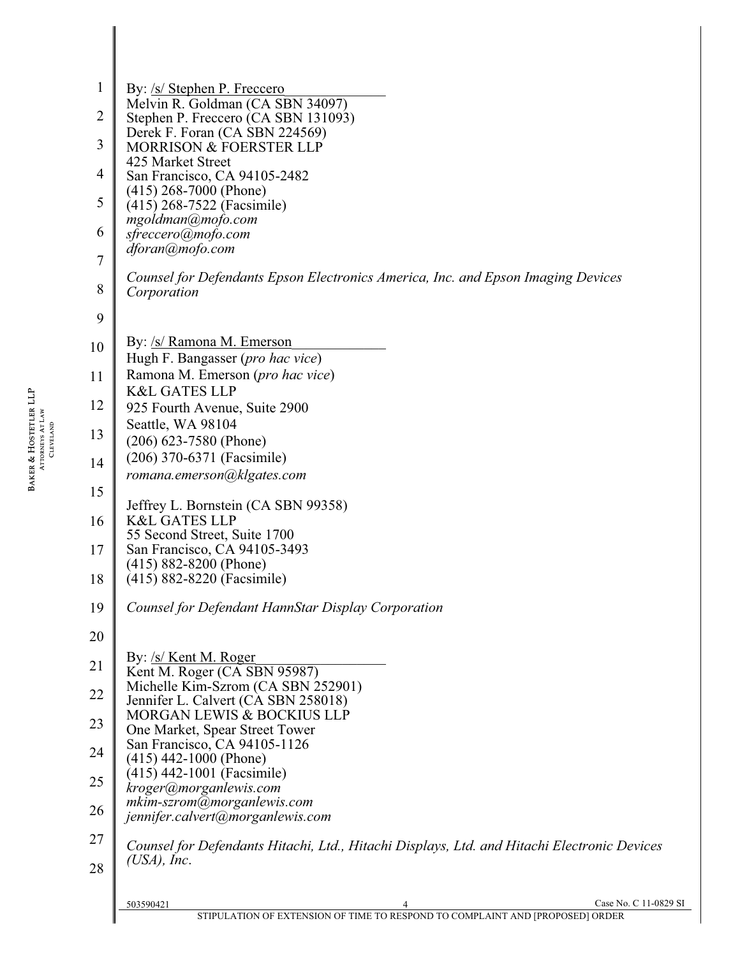| $\mathbf{1}$   | By: /s/ Stephen P. Freccero                                                                                              |
|----------------|--------------------------------------------------------------------------------------------------------------------------|
| $\overline{2}$ | Melvin R. Goldman (CA SBN 34097)<br>Stephen P. Freccero (CA SBN 131093)                                                  |
|                | Derek F. Foran (CA SBN 224569)                                                                                           |
| 3              | <b>MORRISON &amp; FOERSTER LLP</b><br>425 Market Street                                                                  |
| 4              | San Francisco, CA 94105-2482                                                                                             |
| 5              | $(415)$ 268-7000 (Phone)<br>(415) 268-7522 (Facsimile)                                                                   |
| 6              | mgoldman@mofo.com<br>sfreccero@mofo.com                                                                                  |
|                | dforan@mofo.com                                                                                                          |
| $\overline{7}$ | Counsel for Defendants Epson Electronics America, Inc. and Epson Imaging Devices                                         |
| 8              | Corporation                                                                                                              |
| 9              |                                                                                                                          |
| 10             | By: /s/ Ramona M. Emerson                                                                                                |
|                | Hugh F. Bangasser (pro hac vice)                                                                                         |
| 11             | Ramona M. Emerson (pro hac vice)<br><b>K&amp;L GATES LLP</b>                                                             |
| 12             | 925 Fourth Avenue, Suite 2900                                                                                            |
| 13             | Seattle, WA 98104<br>$(206)$ 623-7580 (Phone)                                                                            |
| 14             | (206) 370-6371 (Facsimile)                                                                                               |
|                | romana.emerson@klgates.com                                                                                               |
| 15             | Jeffrey L. Bornstein (CA SBN 99358)                                                                                      |
| 16             | <b>K&amp;L GATES LLP</b>                                                                                                 |
| 17             | 55 Second Street, Suite 1700<br>San Francisco, CA 94105-3493                                                             |
|                | $(415)$ 882-8200 (Phone)                                                                                                 |
| 18             | (415) 882-8220 (Facsimile)                                                                                               |
| 19             | Counsel for Defendant HannStar Display Corporation                                                                       |
| 20             |                                                                                                                          |
| 21             | By: /s/ Kent M. Roger                                                                                                    |
|                | Kent M. Roger (CA SBN 95987)<br>Michelle Kim-Szrom (CA SBN 252901)                                                       |
| 22             | Jennifer L. Calvert (CA SBN 258018)<br>MORGAN LEWIS & BOCKIUS LLP                                                        |
| 23             | One Market, Spear Street Tower                                                                                           |
| 24             | San Francisco, CA 94105-1126<br>$(415)$ 442-1000 (Phone)                                                                 |
| 25             | $(415)$ 442-1001 (Facsimile)                                                                                             |
|                | kroger@morganlewis.com<br>mkim-szrom@morganlewis.com                                                                     |
| 26             | jennifer.calvert@morganlewis.com                                                                                         |
| 27             | Counsel for Defendants Hitachi, Ltd., Hitachi Displays, Ltd. and Hitachi Electronic Devices                              |
| 28             | $(USA)$ , Inc.                                                                                                           |
|                |                                                                                                                          |
|                | Case No. C 11-0829 SI<br>503590421<br>4<br>STIPULATION OF EXTENSION OF TIME TO RESPOND TO COMPLAINT AND [PROPOSED] ORDER |
|                |                                                                                                                          |

**BAKER & HOSTETLER LLP**<br>ATTORNEYS AT LAW<br>CLEVELAND BAKER & HOSTETLER LLP ATTORNEYS AT LAW CLEVELAND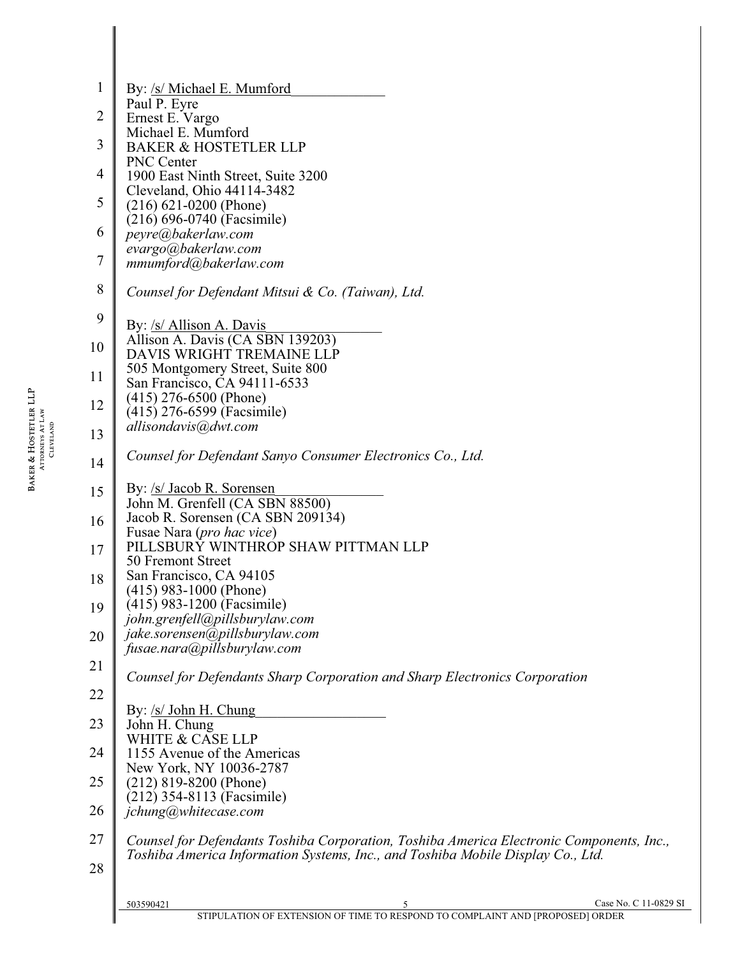| 1              | By: /s/ Michael E. Mumford                                                               |
|----------------|------------------------------------------------------------------------------------------|
| $\overline{2}$ | Paul P. Eyre<br>Ernest E. Vargo                                                          |
|                | Michael E. Mumford                                                                       |
| $\mathfrak{Z}$ | <b>BAKER &amp; HOSTETLER LLP</b>                                                         |
| 4              | PNC Center<br>1900 East Ninth Street, Suite 3200                                         |
| 5              | Cleveland, Ohio 44114-3482                                                               |
|                | $(216) 621 - 0200$ (Phone)<br>$(216) 696-0740$ (Facsimile)                               |
| 6              | peyre@bakerlaw.com                                                                       |
| $\overline{7}$ | evargo@bakerlaw.com<br>mmumford@bakerlaw.com                                             |
|                |                                                                                          |
| $\,$ $\,$      | Counsel for Defendant Mitsui & Co. (Taiwan), Ltd.                                        |
| 9              | By: /s/ Allison A. Davis                                                                 |
| 10             | Allison A. Davis (CA SBN 139203)                                                         |
|                | DAVIS WRIGHT TREMAINE LLP<br>505 Montgomery Street, Suite 800                            |
| 11             | San Francisco, CA 94111-6533                                                             |
| 12             | $(415)$ 276-6500 (Phone)                                                                 |
|                | (415) 276-6599 (Facsimile)<br>allisondavis@dwt.com                                       |
| 13             |                                                                                          |
| 14             | Counsel for Defendant Sanyo Consumer Electronics Co., Ltd.                               |
| 15             | By: /s/ Jacob R. Sorensen                                                                |
|                | John M. Grenfell (CA SBN 88500)                                                          |
| 16             | Jacob R. Sorensen (CA SBN 209134)<br>Fusae Nara (pro hac vice)                           |
| 17             | PILLSBURY WINTHROP SHAW PITTMAN LLP                                                      |
| 18             | 50 Fremont Street<br>San Francisco, CA 94105                                             |
|                | $(415)$ 983-1000 (Phone)                                                                 |
| 19             | (415) 983-1200 (Facsimile)<br>john.grenfell@pillsburylaw.com                             |
| 20             | jake.sorensen@pillsburylaw.com                                                           |
|                | fusae.nara@pillsburylaw.com                                                              |
| 21             | Counsel for Defendants Sharp Corporation and Sharp Electronics Corporation               |
| 22             |                                                                                          |
| 23             | By: /s/ John H. Chung<br>John H. Chung                                                   |
|                | WHITE & CASE LLP                                                                         |
| 24             | 1155 Avenue of the Americas                                                              |
| 25             | New York, NY 10036-2787<br>$(212)$ 819-8200 (Phone)                                      |
|                | (212) 354-8113 (Facsimile)                                                               |
| 26             | jchung@whitecase.com                                                                     |
| 27             | Counsel for Defendants Toshiba Corporation, Toshiba America Electronic Components, Inc., |
| 28             | Toshiba America Information Systems, Inc., and Toshiba Mobile Display Co., Ltd.          |
|                |                                                                                          |
|                | Case No. C 11-0829 SI<br>503590421<br>5                                                  |
|                | STIPULATION OF EXTENSION OF TIME TO RESPOND TO COMPLAINT AND [PROPOSED] ORDER            |

**BAKER & HOSTETLER LLP**<br>ATTORNEYS AT LAW<br>CLEVELAND BAKER & HOSTETLER LLP ATTORNEYS AT LAW CLEVELAND